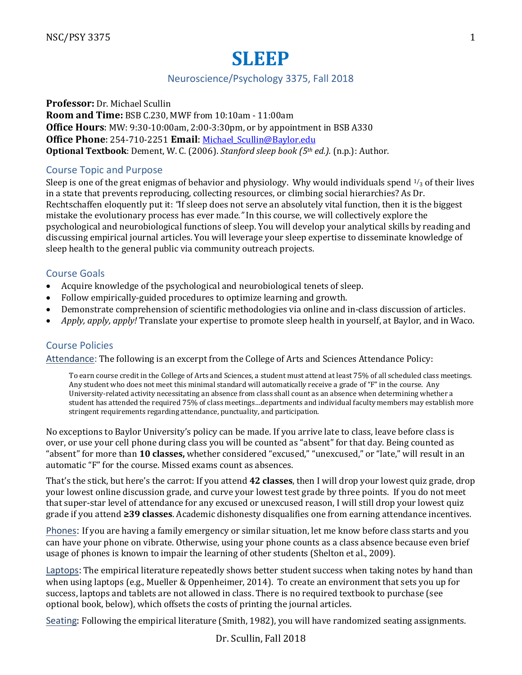# **SLEEP**

# Neuroscience/Psychology 3375, Fall 2018

**Professor:** Dr. Michael Scullin **Room and Time:** BSB C.230, MWF from 10:10am - 11:00am **Office Hours:** MW: 9:30-10:00am, 2:00-3:30pm, or by appointment in BSB A330 **Office Phone**: 254-710-2251 **Email**: Michael\_Scullin@Baylor.edu **Optional Textbook**: Dement, W. C. (2006). *Stanford sleep book* (5th ed.). (n.p.): Author.

## Course Topic and Purpose

Sleep is one of the great enigmas of behavior and physiology. Why would individuals spend  $\frac{1}{3}$  of their lives in a state that prevents reproducing, collecting resources, or climbing social hierarchies? As Dr. Rechtschaffen eloquently put it: "If sleep does not serve an absolutely vital function, then it is the biggest mistake the evolutionary process has ever made." In this course, we will collectively explore the psychological and neurobiological functions of sleep. You will develop your analytical skills by reading and discussing empirical journal articles. You will leverage your sleep expertise to disseminate knowledge of sleep health to the general public via community outreach projects.

# Course Goals

- Acquire knowledge of the psychological and neurobiological tenets of sleep.
- Follow empirically-guided procedures to optimize learning and growth.
- Demonstrate comprehension of scientific methodologies via online and in-class discussion of articles.
- Apply, apply, apply! Translate your expertise to promote sleep health in yourself, at Baylor, and in Waco.

# Course Policies

Attendance: The following is an excerpt from the College of Arts and Sciences Attendance Policy:

To earn course credit in the College of Arts and Sciences, a student must attend at least 75% of all scheduled class meetings. Any student who does not meet this minimal standard will automatically receive a grade of "F" in the course. Any University-related activity necessitating an absence from class shall count as an absence when determining whether a student has attended the required 75% of class meetings...departments and individual faculty members may establish more stringent requirements regarding attendance, punctuality, and participation.

No exceptions to Baylor University's policy can be made. If you arrive late to class, leave before class is over, or use your cell phone during class you will be counted as "absent" for that day. Being counted as "absent" for more than 10 classes, whether considered "excused," "unexcused," or "late," will result in an automatic "F" for the course. Missed exams count as absences.

That's the stick, but here's the carrot: If you attend **42 classes**, then I will drop your lowest quiz grade, drop your lowest online discussion grade, and curve your lowest test grade by three points. If you do not meet that super-star level of attendance for any excused or unexcused reason, I will still drop your lowest quiz grade if you attend **≥39 classes**. Academic dishonesty disqualifies one from earning attendance incentives.

Phones: If you are having a family emergency or similar situation, let me know before class starts and you can have your phone on vibrate. Otherwise, using your phone counts as a class absence because even brief usage of phones is known to impair the learning of other students (Shelton et al., 2009).

Laptops: The empirical literature repeatedly shows better student success when taking notes by hand than when using laptops (e.g., Mueller & Oppenheimer, 2014). To create an environment that sets you up for success, laptops and tablets are not allowed in class. There is no required textbook to purchase (see optional book, below), which offsets the costs of printing the journal articles.

Seating: Following the empirical literature (Smith, 1982), you will have randomized seating assignments.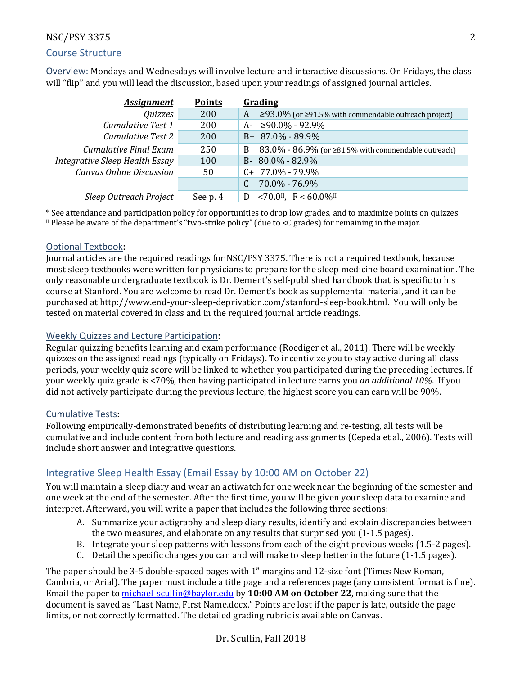# Course Structure

Overview: Mondays and Wednesdays will involve lecture and interactive discussions. On Fridays, the class will "flip" and you will lead the discussion, based upon your readings of assigned journal articles.

| <b>Assignment</b>               | <b>Points</b> | Grading                                                               |
|---------------------------------|---------------|-----------------------------------------------------------------------|
| Quizzes                         | 200           | ≥93.0% (or ≥91.5% with commendable outreach project)<br>A             |
| Cumulative Test 1               | 200           | ≥90.0% - 92.9%<br>A-                                                  |
| Cumulative Test 2               | 200           | B+ 87.0% - 89.9%                                                      |
| Cumulative Final Exam           | 250           | $83.0\%$ - $86.9\%$ (or $\geq 81.5\%$ with commendable outreach)<br>B |
| Integrative Sleep Health Essay  | 100           | $80.0\% - 82.9\%$<br>$B-$                                             |
| <b>Canvas Online Discussion</b> | 50            | $C+ 77.0\% - 79.9\%$                                                  |
|                                 |               | $70.0\% - 76.9\%$                                                     |
| Sleep Outreach Project          | See p. 4      | $< 70.0$ <sup>II</sup> , F < 60.0% <sup>II</sup>                      |

\* See attendance and participation policy for opportunities to drop low grades, and to maximize points on quizzes. II Please be aware of the department's "two-strike policy" (due to  $\lt C$  grades) for remaining in the major.

## Optional Textbook:

Journal articles are the required readings for NSC/PSY 3375. There is not a required textbook, because most sleep textbooks were written for physicians to prepare for the sleep medicine board examination. The only reasonable undergraduate textbook is Dr. Dement's self-published handbook that is specific to his course at Stanford. You are welcome to read Dr. Dement's book as supplemental material, and it can be purchased at http://www.end-your-sleep-deprivation.com/stanford-sleep-book.html. You will only be tested on material covered in class and in the required journal article readings.

## Weekly Quizzes and Lecture Participation:

Regular quizzing benefits learning and exam performance (Roediger et al., 2011). There will be weekly quizzes on the assigned readings (typically on Fridays). To incentivize you to stay active during all class periods, your weekly quiz score will be linked to whether you participated during the preceding lectures. If your weekly quiz grade is <70%, then having participated in lecture earns you *an additional* 10%. If you did not actively participate during the previous lecture, the highest score you can earn will be 90%.

## Cumulative Tests:

Following empirically-demonstrated benefits of distributing learning and re-testing, all tests will be cumulative and include content from both lecture and reading assignments (Cepeda et al., 2006). Tests will include short answer and integrative questions.

# Integrative Sleep Health Essay (Email Essay by 10:00 AM on October 22)

You will maintain a sleep diary and wear an actiwatch for one week near the beginning of the semester and one week at the end of the semester. After the first time, you will be given your sleep data to examine and interpret. Afterward, you will write a paper that includes the following three sections:

- A. Summarize your actigraphy and sleep diary results, identify and explain discrepancies between the two measures, and elaborate on any results that surprised you  $(1-1.5$  pages).
- B. Integrate your sleep patterns with lessons from each of the eight previous weeks (1.5-2 pages).
- C. Detail the specific changes you can and will make to sleep better in the future  $(1-1.5 \text{ pages})$ .

The paper should be 3-5 double-spaced pages with 1" margins and 12-size font (Times New Roman, Cambria, or Arial). The paper must include a title page and a references page (any consistent format is fine). Email the paper to michael scullin@baylor.edu by **10:00 AM** on October 22, making sure that the document is saved as "Last Name, First Name.docx." Points are lost if the paper is late, outside the page limits, or not correctly formatted. The detailed grading rubric is available on Canvas.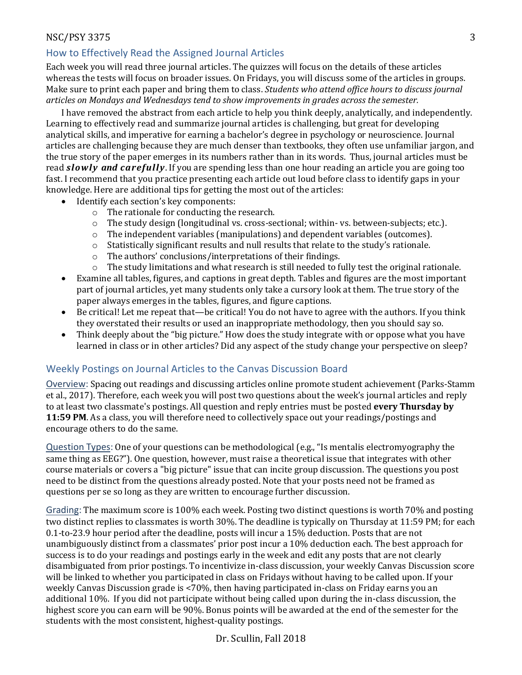# How to Effectively Read the Assigned Journal Articles

Each week you will read three journal articles. The quizzes will focus on the details of these articles whereas the tests will focus on broader issues. On Fridays, you will discuss some of the articles in groups. Make sure to print each paper and bring them to class. *Students who attend office hours to discuss journal* articles on Mondays and Wednesdays tend to show improvements in grades across the semester.

I have removed the abstract from each article to help you think deeply, analytically, and independently. Learning to effectively read and summarize journal articles is challenging, but great for developing analytical skills, and imperative for earning a bachelor's degree in psychology or neuroscience. Journal articles are challenging because they are much denser than textbooks, they often use unfamiliar jargon, and the true story of the paper emerges in its numbers rather than in its words. Thus, journal articles must be read *slowly* and *carefully*. If you are spending less than one hour reading an article you are going too fast. I recommend that you practice presenting each article out loud before class to identify gaps in your knowledge. Here are additional tips for getting the most out of the articles:

- Identify each section's key components:
	- $\circ$  The rationale for conducting the research.
	- $\circ$  The study design (longitudinal vs. cross-sectional; within- vs. between-subjects; etc.).
	- $\circ$  The independent variables (manipulations) and dependent variables (outcomes).
	- $\circ$  Statistically significant results and null results that relate to the study's rationale.
	- $\circ$  The authors' conclusions/interpretations of their findings.
	- $\circ$  The study limitations and what research is still needed to fully test the original rationale.
- Examine all tables, figures, and captions in great depth. Tables and figures are the most important part of journal articles, yet many students only take a cursory look at them. The true story of the paper always emerges in the tables, figures, and figure captions.
- Be critical! Let me repeat that—be critical! You do not have to agree with the authors. If you think they overstated their results or used an inappropriate methodology, then you should say so.
- Think deeply about the "big picture." How does the study integrate with or oppose what you have learned in class or in other articles? Did any aspect of the study change your perspective on sleep?

## Weekly Postings on Journal Articles to the Canvas Discussion Board

Overview: Spacing out readings and discussing articles online promote student achievement (Parks-Stamm et al., 2017). Therefore, each week you will post two questions about the week's journal articles and reply to at least two classmate's postings. All question and reply entries must be posted **every Thursday by 11:59 PM**. As a class, you will therefore need to collectively space out your readings/postings and encourage others to do the same.

Question Types: One of your questions can be methodological (e.g., "Is mentalis electromyography the same thing as EEG?"). One question, however, must raise a theoretical issue that integrates with other course materials or covers a "big picture" issue that can incite group discussion. The questions you post need to be distinct from the questions already posted. Note that your posts need not be framed as questions per se so long as they are written to encourage further discussion.

Grading: The maximum score is 100% each week. Posting two distinct questions is worth 70% and posting two distinct replies to classmates is worth 30%. The deadline is typically on Thursday at 11:59 PM; for each 0.1-to-23.9 hour period after the deadline, posts will incur a 15% deduction. Posts that are not unambiguously distinct from a classmates' prior post incur a 10% deduction each. The best approach for success is to do your readings and postings early in the week and edit any posts that are not clearly disambiguated from prior postings. To incentivize in-class discussion, your weekly Canvas Discussion score will be linked to whether you participated in class on Fridays without having to be called upon. If your weekly Canvas Discussion grade is <70%, then having participated in-class on Friday earns you an additional 10%. If you did not participate without being called upon during the in-class discussion, the highest score you can earn will be 90%. Bonus points will be awarded at the end of the semester for the students with the most consistent, highest-quality postings.

Dr. Scullin, Fall 2018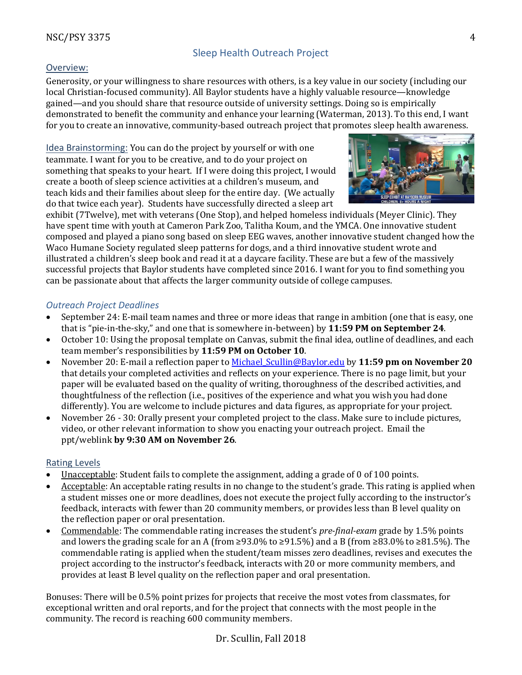# Sleep Health Outreach Project

# Overview:

Generosity, or your willingness to share resources with others, is a key value in our society (including our local Christian-focused community). All Baylor students have a highly valuable resource—knowledge gained—and you should share that resource outside of university settings. Doing so is empirically demonstrated to benefit the community and enhance your learning (Waterman, 2013). To this end, I want for you to create an innovative, community-based outreach project that promotes sleep health awareness.

Idea Brainstorming: You can do the project by yourself or with one teammate. I want for you to be creative, and to do your project on something that speaks to your heart. If I were doing this project, I would create a booth of sleep science activities at a children's museum, and teach kids and their families about sleep for the entire day. (We actually do that twice each year). Students have successfully directed a sleep art



exhibit (7Twelve), met with veterans (One Stop), and helped homeless individuals (Meyer Clinic). They have spent time with youth at Cameron Park Zoo, Talitha Koum, and the YMCA. One innovative student composed and played a piano song based on sleep EEG waves, another innovative student changed how the Waco Humane Society regulated sleep patterns for dogs, and a third innovative student wrote and illustrated a children's sleep book and read it at a daycare facility. These are but a few of the massively successful projects that Baylor students have completed since 2016. I want for you to find something you can be passionate about that affects the larger community outside of college campuses.

## *Outreach Project Deadlines*

- September 24: E-mail team names and three or more ideas that range in ambition (one that is easy, one that is "pie-in-the-sky," and one that is somewhere in-between) by 11:59 PM on September 24.
- October 10: Using the proposal template on Canvas, submit the final idea, outline of deadlines, and each team member's responsibilities by **11:59 PM on October 10**.
- November 20: E-mail a reflection paper to Michael Scullin@Baylor.edu by 11:59 pm on November 20 that details your completed activities and reflects on your experience. There is no page limit, but your paper will be evaluated based on the quality of writing, thoroughness of the described activities, and thoughtfulness of the reflection (i.e., positives of the experience and what you wish you had done differently). You are welcome to include pictures and data figures, as appropriate for your project.
- November 26 30: Orally present your completed project to the class. Make sure to include pictures, video, or other relevant information to show you enacting your outreach project. Email the ppt/weblink **by 9:30 AM on November 26**.

## Rating Levels

- Unacceptable: Student fails to complete the assignment, adding a grade of 0 of 100 points.
- Acceptable: An acceptable rating results in no change to the student's grade. This rating is applied when a student misses one or more deadlines, does not execute the project fully according to the instructor's feedback, interacts with fewer than 20 community members, or provides less than B level quality on the reflection paper or oral presentation.
- Commendable: The commendable rating increases the student's *pre-final-exam* grade by 1.5% points and lowers the grading scale for an A (from  $\geq$ 93.0% to  $\geq$ 91.5%) and a B (from  $\geq$ 83.0% to  $\geq$ 81.5%). The commendable rating is applied when the student/team misses zero deadlines, revises and executes the project according to the instructor's feedback, interacts with 20 or more community members, and provides at least B level quality on the reflection paper and oral presentation.

Bonuses: There will be 0.5% point prizes for projects that receive the most votes from classmates, for exceptional written and oral reports, and for the project that connects with the most people in the community. The record is reaching 600 community members.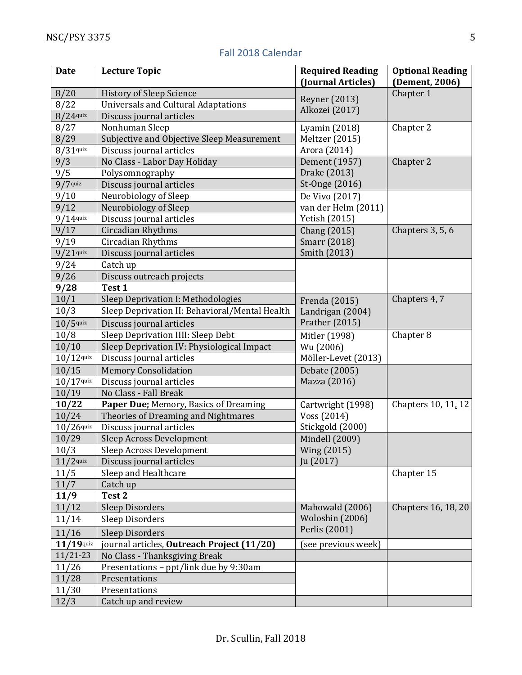| <b>Date</b>  | <b>Lecture Topic</b>                           | <b>Required Reading</b><br>(Journal Articles) | <b>Optional Reading</b><br>(Dement, 2006) |
|--------------|------------------------------------------------|-----------------------------------------------|-------------------------------------------|
| 8/20         | <b>History of Sleep Science</b>                | <b>Reyner</b> (2013)<br>Alkozei (2017)        | Chapter 1                                 |
| 8/22         | <b>Universals and Cultural Adaptations</b>     |                                               |                                           |
| $8/24$ quiz  | Discuss journal articles                       |                                               |                                           |
| 8/27         | Nonhuman Sleep                                 | Lyamin (2018)                                 | Chapter 2                                 |
| 8/29         | Subjective and Objective Sleep Measurement     | Meltzer (2015)                                |                                           |
| $8/31$ quiz  | Discuss journal articles                       | Arora (2014)                                  |                                           |
| 9/3          | No Class - Labor Day Holiday                   | Dement (1957)                                 | Chapter 2                                 |
| 9/5          | Polysomnography                                | Drake (2013)                                  |                                           |
| $9/7$ quiz   | Discuss journal articles                       | St-Onge (2016)                                |                                           |
| 9/10         | Neurobiology of Sleep                          | De Vivo (2017)                                |                                           |
| 9/12         | Neurobiology of Sleep                          | van der Helm (2011)                           |                                           |
| $9/14$ quiz  | Discuss journal articles                       | Yetish (2015)                                 |                                           |
| 9/17         | Circadian Rhythms                              | Chang (2015)                                  | Chapters 3, 5, 6                          |
| 9/19         | Circadian Rhythms                              | Smarr (2018)                                  |                                           |
| $9/21$ quiz  | Discuss journal articles                       | Smith (2013)                                  |                                           |
| 9/24         | Catch up                                       |                                               |                                           |
| 9/26         | Discuss outreach projects                      |                                               |                                           |
| 9/28         | Test 1                                         |                                               |                                           |
| 10/1         | Sleep Deprivation I: Methodologies             | Frenda (2015)                                 | Chapters 4, 7                             |
| 10/3         | Sleep Deprivation II: Behavioral/Mental Health | Landrigan (2004)                              |                                           |
| $10/5$ quiz  | Discuss journal articles                       | Prather (2015)                                |                                           |
| 10/8         | Sleep Deprivation IIII: Sleep Debt             | Mitler (1998)                                 | Chapter 8                                 |
| 10/10        | Sleep Deprivation IV: Physiological Impact     | Wu (2006)                                     |                                           |
| $10/12$ quiz | Discuss journal articles                       | Möller-Levet (2013)                           |                                           |
| 10/15        | <b>Memory Consolidation</b>                    | Debate (2005)                                 |                                           |
| $10/17$ quiz | Discuss journal articles                       | Mazza (2016)                                  |                                           |
| 10/19        | No Class - Fall Break                          |                                               |                                           |
| 10/22        | Paper Due; Memory, Basics of Dreaming          | Cartwright (1998)                             | Chapters 10, 11, 12                       |
| 10/24        | Theories of Dreaming and Nightmares            | Voss (2014)                                   |                                           |
| $10/26$ quiz | Discuss journal articles                       | Stickgold (2000)                              |                                           |
| 10/29        | <b>Sleep Across Development</b>                | Mindell (2009)                                |                                           |
| 10/3         | Sleep Across Development                       | Wing (2015)                                   |                                           |
| $11/2$ quiz  | Discuss journal articles                       | Ju (2017)                                     |                                           |
| 11/5         | Sleep and Healthcare                           |                                               | Chapter 15                                |
| 11/7         | Catch up                                       |                                               |                                           |
| 11/9         | Test 2                                         |                                               |                                           |
| 11/12        | <b>Sleep Disorders</b>                         | Mahowald (2006)                               | Chapters 16, 18, 20                       |
| 11/14        | <b>Sleep Disorders</b>                         | Woloshin (2006)                               |                                           |
| 11/16        | <b>Sleep Disorders</b>                         | Perlis (2001)                                 |                                           |
| $11/19$ quiz | journal articles, Outreach Project (11/20)     | (see previous week)                           |                                           |
| $11/21-23$   | No Class - Thanksgiving Break                  |                                               |                                           |
| 11/26        | Presentations - ppt/link due by 9:30am         |                                               |                                           |
| 11/28        | Presentations                                  |                                               |                                           |
| 11/30        | Presentations                                  |                                               |                                           |
| 12/3         | Catch up and review                            |                                               |                                           |

# Fall 2018 Calendar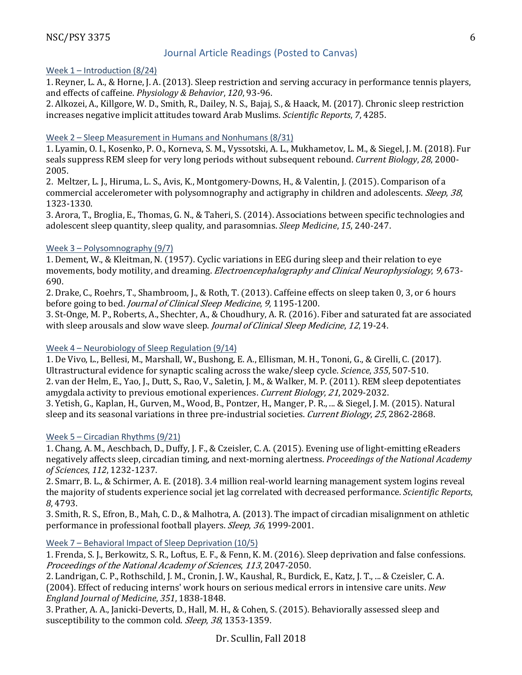# Journal Article Readings (Posted to Canvas)

## Week 1 – Introduction (8/24)

1. Reyner, L. A., & Horne, J. A. (2013). Sleep restriction and serving accuracy in performance tennis players, and effects of caffeine. *Physiology & Behavior*, 120, 93-96.

2. Alkozei, A., Killgore, W. D., Smith, R., Dailey, N. S., Bajaj, S., & Haack, M. (2017). Chronic sleep restriction increases negative implicit attitudes toward Arab Muslims. *Scientific Reports*, 7, 4285.

## Week 2 – Sleep Measurement in Humans and Nonhumans (8/31)

1. Lyamin, O. I., Kosenko, P. O., Korneva, S. M., Vyssotski, A. L., Mukhametov, L. M., & Siegel, J. M. (2018). Fur seals suppress REM sleep for very long periods without subsequent rebound. *Current Biology*, 28, 2000-2005.

2. Meltzer, L. J., Hiruma, L. S., Avis, K., Montgomery-Downs, H., & Valentin, J. (2015). Comparison of a commercial accelerometer with polysomnography and actigraphy in children and adolescents. *Sleep*, 38, 1323-1330.

3. Arora, T., Broglia, E., Thomas, G. N., & Taheri, S. (2014). Associations between specific technologies and adolescent sleep quantity, sleep quality, and parasomnias. *Sleep Medicine*, 15, 240-247.

## Week 3 – Polysomnography (9/7)

1. Dement, W., & Kleitman, N. (1957). Cyclic variations in EEG during sleep and their relation to eye movements, body motility, and dreaming. *Electroencephalography and Clinical Neurophysiology*, 9, 673-690.

2. Drake, C., Roehrs, T., Shambroom, J., & Roth, T. (2013). Caffeine effects on sleep taken 0, 3, or 6 hours before going to bed. *Journal of Clinical Sleep Medicine*, 9, 1195-1200.

3. St-Onge, M. P., Roberts, A., Shechter, A., & Choudhury, A. R. (2016). Fiber and saturated fat are associated with sleep arousals and slow wave sleep. *Journal of Clinical Sleep Medicine*, 12, 19-24.

## Week 4 – Neurobiology of Sleep Regulation (9/14)

1. De Vivo, L., Bellesi, M., Marshall, W., Bushong, E. A., Ellisman, M. H., Tononi, G., & Cirelli, C. (2017). Ultrastructural evidence for synaptic scaling across the wake/sleep cycle. *Science*, 355, 507-510. 2. van der Helm, E., Yao, J., Dutt, S., Rao, V., Saletin, J. M., & Walker, M. P. (2011). REM sleep depotentiates amygdala activity to previous emotional experiences. Current Biology, 21, 2029-2032. 3. Yetish, G., Kaplan, H., Gurven, M., Wood, B., Pontzer, H., Manger, P. R., ... & Siegel, J. M. (2015). Natural sleep and its seasonal variations in three pre-industrial societies. Current Biology, 25, 2862-2868.

## Week 5 – Circadian Rhythms (9/21)

1. Chang, A. M., Aeschbach, D., Duffy, J. F., & Czeisler, C. A. (2015). Evening use of light-emitting eReaders negatively affects sleep, circadian timing, and next-morning alertness. *Proceedings of the National Academy of Sciences*, *112*, 1232-1237.

2. Smarr, B. L., & Schirmer, A. E. (2018). 3.4 million real-world learning management system logins reveal the majority of students experience social jet lag correlated with decreased performance. *Scientific Reports*, *8*, 4793.

3. Smith, R. S., Efron, B., Mah, C. D., & Malhotra, A. (2013). The impact of circadian misalignment on athletic performance in professional football players. Sleep, 36, 1999-2001.

## Week 7 – Behavioral Impact of Sleep Deprivation (10/5)

1. Frenda, S. J., Berkowitz, S. R., Loftus, E. F., & Fenn, K. M. (2016). Sleep deprivation and false confessions. Proceedings of the National Academy of Sciences, 113, 2047-2050.

2. Landrigan, C. P., Rothschild, J. M., Cronin, J. W., Kaushal, R., Burdick, E., Katz, J. T., ... & Czeisler, C. A. (2004). Effect of reducing interns' work hours on serious medical errors in intensive care units. *New England Journal of Medicine*, *351*, 1838-1848.

3. Prather, A. A., Janicki-Deverts, D., Hall, M. H., & Cohen, S. (2015). Behaviorally assessed sleep and susceptibility to the common cold. *Sleep*, 38, 1353-1359.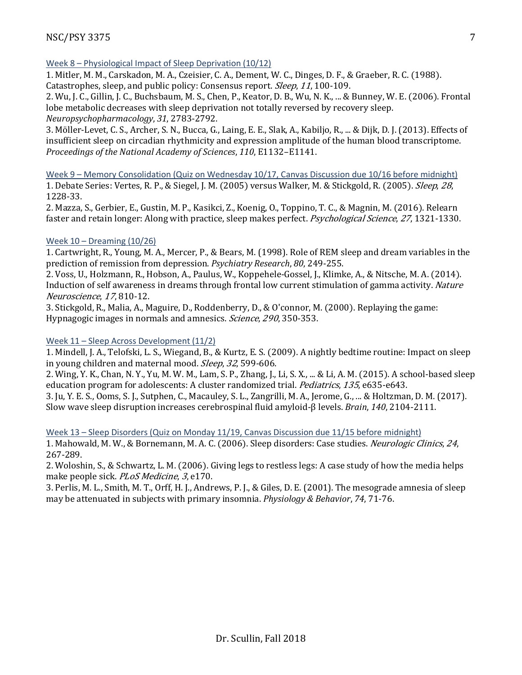# Week 8 – Physiological Impact of Sleep Deprivation (10/12)

1. Mitler, M. M., Carskadon, M. A., Czeisier, C. A., Dement, W. C., Dinges, D. F., & Graeber, R. C. (1988). Catastrophes, sleep, and public policy: Consensus report. *Sleep*, 11, 100-109.

2. Wu, J. C., Gillin, J. C., Buchsbaum, M. S., Chen, P., Keator, D. B., Wu, N. K., ... & Bunney, W. E. (2006). Frontal lobe metabolic decreases with sleep deprivation not totally reversed by recovery sleep. *Neuropsychopharmacology*, *31*, 2783-2792.

3. Möller-Levet, C. S., Archer, S. N., Bucca, G., Laing, E. E., Slak, A., Kabiljo, R., ... & Dijk, D. J. (2013). Effects of insufficient sleep on circadian rhythmicity and expression amplitude of the human blood transcriptome. *Proceedings of the National Academy of Sciences, 110, E1132-E1141.* 

Week 9 – Memory Consolidation (Quiz on Wednesday 10/17, Canvas Discussion due 10/16 before midnight) 1. Debate Series: Vertes, R. P., & Siegel, J. M. (2005) versus Walker, M. & Stickgold, R. (2005). Sleep, 28, 1228-33.

2. Mazza, S., Gerbier, E., Gustin, M. P., Kasikci, Z., Koenig, O., Toppino, T. C., & Magnin, M. (2016). Relearn faster and retain longer: Along with practice, sleep makes perfect. *Psychological Science*, 27, 1321-1330.

## Week  $10 -$  Dreaming  $(10/26)$

1. Cartwright, R., Young, M. A., Mercer, P., & Bears, M. (1998). Role of REM sleep and dream variables in the prediction of remission from depression. *Psychiatry Research*, 80, 249-255.

2. Voss, U., Holzmann, R., Hobson, A., Paulus, W., Koppehele-Gossel, J., Klimke, A., & Nitsche, M. A. (2014). Induction of self awareness in dreams through frontal low current stimulation of gamma activity. Nature Neuroscience, 17, 810-12.

3. Stickgold, R., Malia, A., Maguire, D., Roddenberry, D., & O'connor, M. (2000). Replaying the game: Hypnagogic images in normals and amnesics. Science, 290, 350-353.

## Week 11 – Sleep Across Development (11/2)

1. Mindell, J. A., Telofski, L. S., Wiegand, B., & Kurtz, E. S. (2009). A nightly bedtime routine: Impact on sleep in young children and maternal mood. *Sleep*, 32, 599-606.

2. Wing, Y. K., Chan, N. Y., Yu, M. W. M., Lam, S. P., Zhang, J., Li, S. X., ... & Li, A. M. (2015). A school-based sleep education program for adolescents: A cluster randomized trial. *Pediatrics*, 135, e635-e643.

3. Ju, Y. E. S., Ooms, S. J., Sutphen, C., Macauley, S. L., Zangrilli, M. A., Jerome, G., ... & Holtzman, D. M. (2017). Slow wave sleep disruption increases cerebrospinal fluid amyloid-β levels. *Brain*, 140, 2104-2111.

## Week 13 – Sleep Disorders (Quiz on Monday 11/19, Canvas Discussion due 11/15 before midnight)

1. Mahowald, M. W., & Bornemann, M. A. C. (2006). Sleep disorders: Case studies. *Neurologic Clinics, 24*, 267-289.

2. Woloshin, S., & Schwartz, L. M. (2006). Giving legs to restless legs: A case study of how the media helps make people sick. *PLoS Medicine*, 3, e170.

3. Perlis, M. L., Smith, M. T., Orff, H. J., Andrews, P. J., & Giles, D. E. (2001). The mesograde amnesia of sleep may be attenuated in subjects with primary insomnia. *Physiology & Behavior*, 74, 71-76.